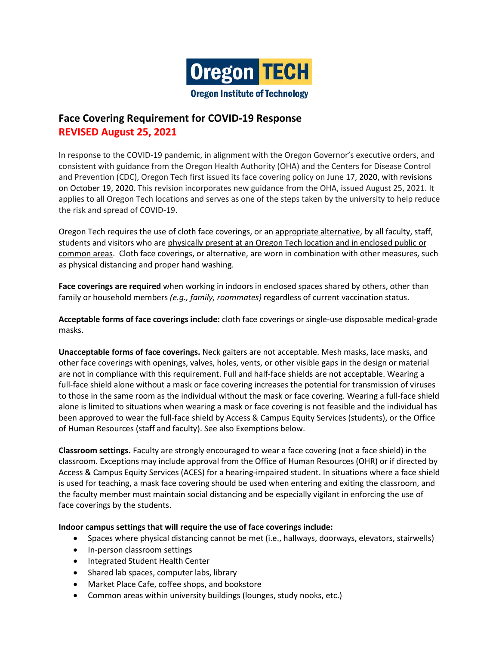

# **Face Covering Requirement for COVID-19 Response REVISED August 25, 2021**

In response to the COVID-19 pandemic, in alignment with the Oregon Governor's executive orders, and consistent with guidance from the Oregon Health Authority (OHA) and the Centers for Disease Control and Prevention (CDC), Oregon Tech first issued its face covering policy on June 17, 2020, with revisions on October 19, 2020. This revision incorporates new guidance from the OHA, issued August 25, 2021. It applies to all Oregon Tech locations and serves as one of the steps taken by the university to help reduce the risk and spread of COVID-19.

Oregon Tech requires the use of cloth face coverings, or an appropriate alternative, by all faculty, staff, students and visitors who are physically present at an Oregon Tech location and in enclosed public or common areas. Cloth face coverings, or alternative, are worn in combination with other measures, such as physical distancing and proper hand washing.

**Face coverings are required** when working in indoors in enclosed spaces shared by others, other than family or household members *(e.g., family, roommates)* regardless of current vaccination status.

**Acceptable forms of face coverings include:** cloth face coverings or single-use disposable medical-grade masks.

**Unacceptable forms of face coverings.** Neck gaiters are not acceptable. Mesh masks, lace masks, and other face coverings with openings, valves, holes, vents, or other visible gaps in the design or material are not in compliance with this requirement. Full and half-face shields are not acceptable. Wearing a full-face shield alone without a mask or face covering increases the potential for transmission of viruses to those in the same room as the individual without the mask or face covering. Wearing a full-face shield alone is limited to situations when wearing a mask or face covering is not feasible and the individual has been approved to wear the full-face shield by Access & Campus Equity Services (students), or the Office of Human Resources (staff and faculty). See also Exemptions below.

**Classroom settings.** Faculty are strongly encouraged to wear a face covering (not a face shield) in the classroom. Exceptions may include approval from the Office of Human Resources (OHR) or if directed by Access & Campus Equity Services (ACES) for a hearing-impaired student. In situations where a face shield is used for teaching, a mask face covering should be used when entering and exiting the classroom, and the faculty member must maintain social distancing and be especially vigilant in enforcing the use of face coverings by the students.

#### **Indoor campus settings that will require the use of face coverings include:**

- Spaces where physical distancing cannot be met (i.e., hallways, doorways, elevators, stairwells)
- In-person classroom settings
- Integrated Student Health Center
- Shared lab spaces, computer labs, library
- Market Place Cafe, coffee shops, and bookstore
- Common areas within university buildings (lounges, study nooks, etc.)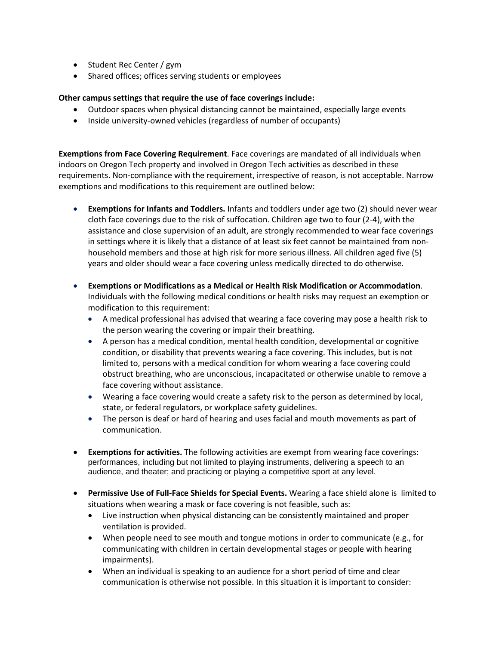- Student Rec Center / gym
- Shared offices; offices serving students or employees

#### **Other campus settings that require the use of face coverings include:**

- Outdoor spaces when physical distancing cannot be maintained, especially large events
- Inside university-owned vehicles (regardless of number of occupants)

**Exemptions from Face Covering Requirement**. Face coverings are mandated of all individuals when indoors on Oregon Tech property and involved in Oregon Tech activities as described in these requirements. Non-compliance with the requirement, irrespective of reason, is not acceptable. Narrow exemptions and modifications to this requirement are outlined below:

- **Exemptions for Infants and Toddlers.** Infants and toddlers under age two (2) should never wear cloth face coverings due to the risk of suffocation. Children age two to four (2-4), with the assistance and close supervision of an adult, are strongly recommended to wear face coverings in settings where it is likely that a distance of at least six feet cannot be maintained from nonhousehold members and those at high risk for more serious illness. All children aged five (5) years and older should wear a face covering unless medically directed to do otherwise.
- **Exemptions or Modifications as a Medical or Health Risk Modification or Accommodation**. Individuals with the following medical conditions or health risks may request an exemption or modification to this requirement:
	- A medical professional has advised that wearing a face covering may pose a health risk to the person wearing the covering or impair their breathing.
	- A person has a medical condition, mental health condition, developmental or cognitive condition, or disability that prevents wearing a face covering. This includes, but is not limited to, persons with a medical condition for whom wearing a face covering could obstruct breathing, who are unconscious, incapacitated or otherwise unable to remove a face covering without assistance.
	- Wearing a face covering would create a safety risk to the person as determined by local, state, or federal regulators, or workplace safety guidelines.
	- The person is deaf or hard of hearing and uses facial and mouth movements as part of communication.
- **Exemptions for activities.** The following activities are exempt from wearing face coverings: performances, including but not limited to playing instruments, delivering a speech to an audience, and theater; and practicing or playing a competitive sport at any level.
- **Permissive Use of Full-Face Shields for Special Events.** Wearing a face shield alone is limited to situations when wearing a mask or face covering is not feasible, such as:
	- Live instruction when physical distancing can be consistently maintained and proper ventilation is provided.
	- When people need to see mouth and tongue motions in order to communicate (e.g., for communicating with children in certain developmental stages or people with hearing impairments).
	- When an individual is speaking to an audience for a short period of time and clear communication is otherwise not possible. In this situation it is important to consider: